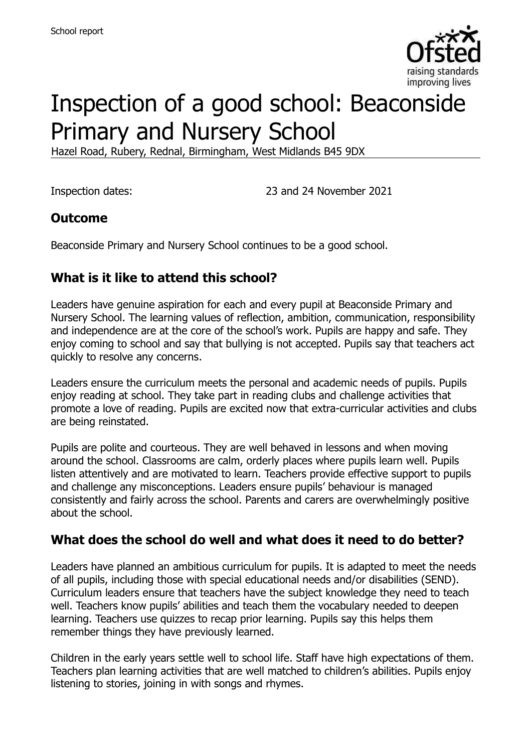

# Inspection of a good school: Beaconside Primary and Nursery School

Hazel Road, Rubery, Rednal, Birmingham, West Midlands B45 9DX

Inspection dates: 23 and 24 November 2021

### **Outcome**

Beaconside Primary and Nursery School continues to be a good school.

# **What is it like to attend this school?**

Leaders have genuine aspiration for each and every pupil at Beaconside Primary and Nursery School. The learning values of reflection, ambition, communication, responsibility and independence are at the core of the school's work. Pupils are happy and safe. They enjoy coming to school and say that bullying is not accepted. Pupils say that teachers act quickly to resolve any concerns.

Leaders ensure the curriculum meets the personal and academic needs of pupils. Pupils enjoy reading at school. They take part in reading clubs and challenge activities that promote a love of reading. Pupils are excited now that extra-curricular activities and clubs are being reinstated.

Pupils are polite and courteous. They are well behaved in lessons and when moving around the school. Classrooms are calm, orderly places where pupils learn well. Pupils listen attentively and are motivated to learn. Teachers provide effective support to pupils and challenge any misconceptions. Leaders ensure pupils' behaviour is managed consistently and fairly across the school. Parents and carers are overwhelmingly positive about the school.

#### **What does the school do well and what does it need to do better?**

Leaders have planned an ambitious curriculum for pupils. It is adapted to meet the needs of all pupils, including those with special educational needs and/or disabilities (SEND). Curriculum leaders ensure that teachers have the subject knowledge they need to teach well. Teachers know pupils' abilities and teach them the vocabulary needed to deepen learning. Teachers use quizzes to recap prior learning. Pupils say this helps them remember things they have previously learned.

Children in the early years settle well to school life. Staff have high expectations of them. Teachers plan learning activities that are well matched to children's abilities. Pupils enjoy listening to stories, joining in with songs and rhymes.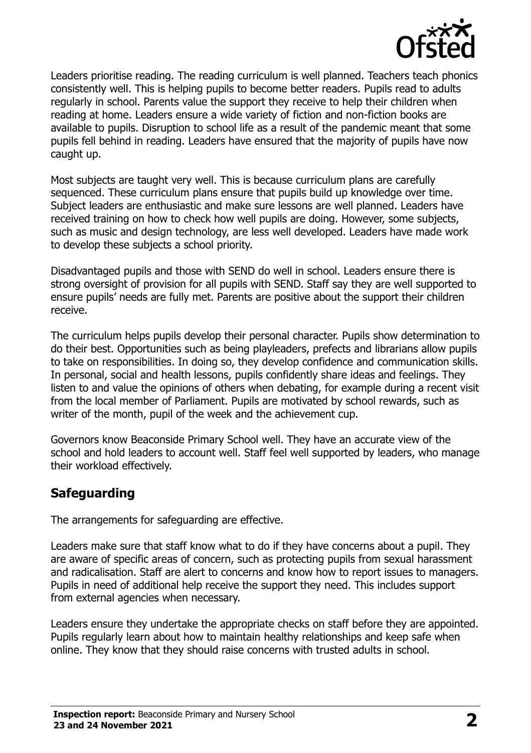

Leaders prioritise reading. The reading curriculum is well planned. Teachers teach phonics consistently well. This is helping pupils to become better readers. Pupils read to adults regularly in school. Parents value the support they receive to help their children when reading at home. Leaders ensure a wide variety of fiction and non-fiction books are available to pupils. Disruption to school life as a result of the pandemic meant that some pupils fell behind in reading. Leaders have ensured that the majority of pupils have now caught up.

Most subjects are taught very well. This is because curriculum plans are carefully sequenced. These curriculum plans ensure that pupils build up knowledge over time. Subject leaders are enthusiastic and make sure lessons are well planned. Leaders have received training on how to check how well pupils are doing. However, some subjects, such as music and design technology, are less well developed. Leaders have made work to develop these subjects a school priority.

Disadvantaged pupils and those with SEND do well in school. Leaders ensure there is strong oversight of provision for all pupils with SEND. Staff say they are well supported to ensure pupils' needs are fully met. Parents are positive about the support their children receive.

The curriculum helps pupils develop their personal character. Pupils show determination to do their best. Opportunities such as being playleaders, prefects and librarians allow pupils to take on responsibilities. In doing so, they develop confidence and communication skills. In personal, social and health lessons, pupils confidently share ideas and feelings. They listen to and value the opinions of others when debating, for example during a recent visit from the local member of Parliament. Pupils are motivated by school rewards, such as writer of the month, pupil of the week and the achievement cup.

Governors know Beaconside Primary School well. They have an accurate view of the school and hold leaders to account well. Staff feel well supported by leaders, who manage their workload effectively.

#### **Safeguarding**

The arrangements for safeguarding are effective.

Leaders make sure that staff know what to do if they have concerns about a pupil. They are aware of specific areas of concern, such as protecting pupils from sexual harassment and radicalisation. Staff are alert to concerns and know how to report issues to managers. Pupils in need of additional help receive the support they need. This includes support from external agencies when necessary.

Leaders ensure they undertake the appropriate checks on staff before they are appointed. Pupils regularly learn about how to maintain healthy relationships and keep safe when online. They know that they should raise concerns with trusted adults in school.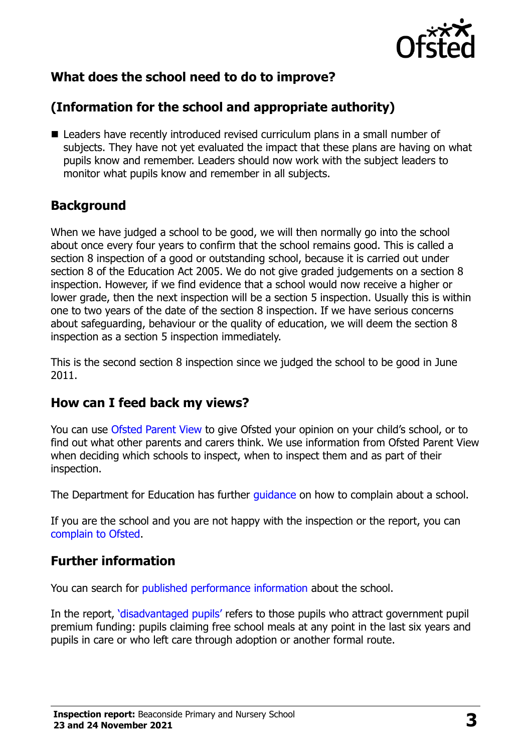

# **What does the school need to do to improve?**

# **(Information for the school and appropriate authority)**

■ Leaders have recently introduced revised curriculum plans in a small number of subjects. They have not yet evaluated the impact that these plans are having on what pupils know and remember. Leaders should now work with the subject leaders to monitor what pupils know and remember in all subjects.

### **Background**

When we have judged a school to be good, we will then normally go into the school about once every four years to confirm that the school remains good. This is called a section 8 inspection of a good or outstanding school, because it is carried out under section 8 of the Education Act 2005. We do not give graded judgements on a section 8 inspection. However, if we find evidence that a school would now receive a higher or lower grade, then the next inspection will be a section 5 inspection. Usually this is within one to two years of the date of the section 8 inspection. If we have serious concerns about safeguarding, behaviour or the quality of education, we will deem the section 8 inspection as a section 5 inspection immediately.

This is the second section 8 inspection since we judged the school to be good in June 2011.

#### **How can I feed back my views?**

You can use [Ofsted Parent View](https://parentview.ofsted.gov.uk/) to give Ofsted your opinion on your child's school, or to find out what other parents and carers think. We use information from Ofsted Parent View when deciding which schools to inspect, when to inspect them and as part of their inspection.

The Department for Education has further quidance on how to complain about a school.

If you are the school and you are not happy with the inspection or the report, you can [complain to Ofsted.](https://www.gov.uk/complain-ofsted-report)

#### **Further information**

You can search for [published performance information](http://www.compare-school-performance.service.gov.uk/) about the school.

In the report, '[disadvantaged pupils](http://www.gov.uk/guidance/pupil-premium-information-for-schools-and-alternative-provision-settings)' refers to those pupils who attract government pupil premium funding: pupils claiming free school meals at any point in the last six years and pupils in care or who left care through adoption or another formal route.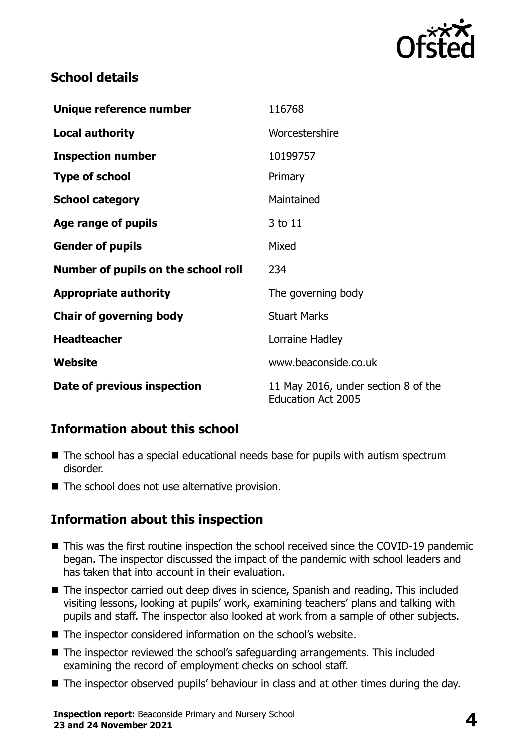

## **School details**

| Unique reference number             | 116768                                                           |
|-------------------------------------|------------------------------------------------------------------|
| <b>Local authority</b>              | Worcestershire                                                   |
| <b>Inspection number</b>            | 10199757                                                         |
| <b>Type of school</b>               | Primary                                                          |
| <b>School category</b>              | Maintained                                                       |
| Age range of pupils                 | 3 to 11                                                          |
| <b>Gender of pupils</b>             | Mixed                                                            |
| Number of pupils on the school roll | 234                                                              |
| <b>Appropriate authority</b>        | The governing body                                               |
| <b>Chair of governing body</b>      | <b>Stuart Marks</b>                                              |
| <b>Headteacher</b>                  | Lorraine Hadley                                                  |
| Website                             | www.beaconside.co.uk                                             |
| Date of previous inspection         | 11 May 2016, under section 8 of the<br><b>Education Act 2005</b> |

# **Information about this school**

- The school has a special educational needs base for pupils with autism spectrum disorder.
- $\blacksquare$  The school does not use alternative provision.

#### **Information about this inspection**

- This was the first routine inspection the school received since the COVID-19 pandemic began. The inspector discussed the impact of the pandemic with school leaders and has taken that into account in their evaluation.
- The inspector carried out deep dives in science, Spanish and reading. This included visiting lessons, looking at pupils' work, examining teachers' plans and talking with pupils and staff. The inspector also looked at work from a sample of other subjects.
- The inspector considered information on the school's website.
- The inspector reviewed the school's safeguarding arrangements. This included examining the record of employment checks on school staff.
- The inspector observed pupils' behaviour in class and at other times during the day.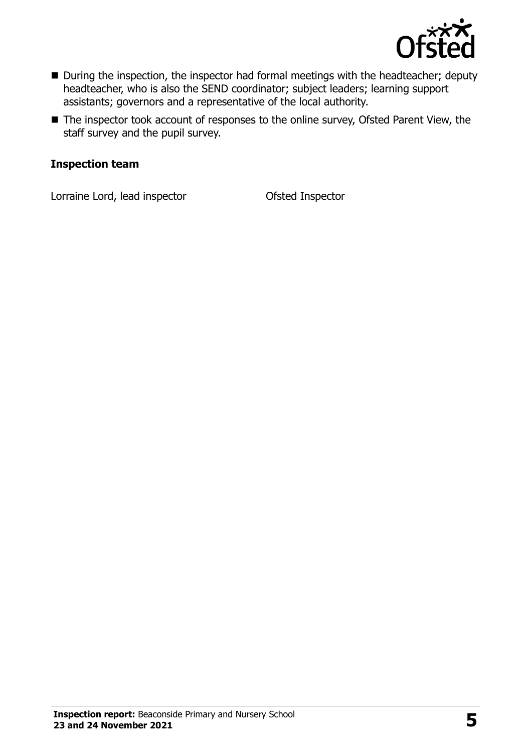

- During the inspection, the inspector had formal meetings with the headteacher; deputy headteacher, who is also the SEND coordinator; subject leaders; learning support assistants; governors and a representative of the local authority.
- The inspector took account of responses to the online survey, Ofsted Parent View, the staff survey and the pupil survey.

#### **Inspection team**

Lorraine Lord, lead inspector Ofsted Inspector